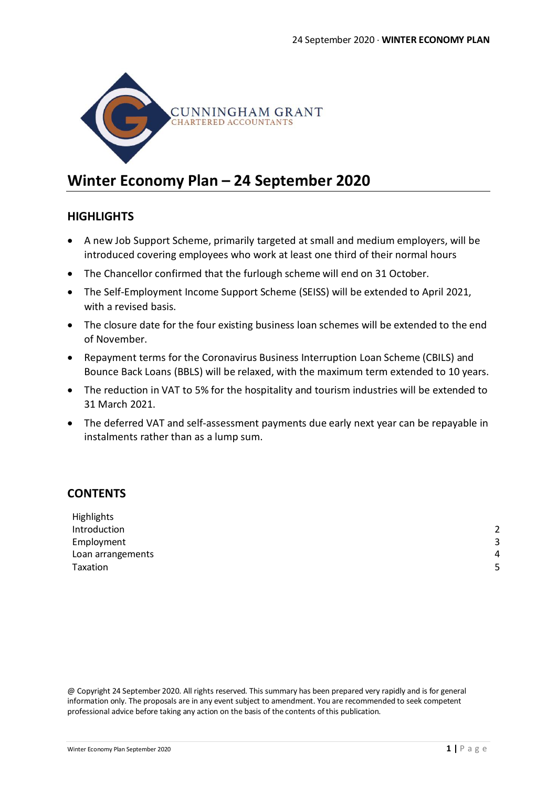

# **Winter Economy Plan – 24 September 2020**

# **HIGHLIGHTS**

- A new Job Support Scheme, primarily targeted at small and medium employers, will be introduced covering employees who work at least one third of their normal hours
- The Chancellor confirmed that the furlough scheme will end on 31 October.
- The Self-Employment Income Support Scheme (SEISS) will be extended to April 2021, with a revised basis.
- The closure date for the four existing business loan schemes will be extended to the end of November.
- Repayment terms for the Coronavirus Business Interruption Loan Scheme (CBILS) and Bounce Back Loans (BBLS) will be relaxed, with the maximum term extended to 10 years.
- The reduction in VAT to 5% for the hospitality and tourism industries will be extended to 31 March 2021.
- The deferred VAT and self-assessment payments due early next year can be repayable in instalments rather than as a lump sum.

# **CONTENTS**

| Highlights        |   |
|-------------------|---|
| Introduction      |   |
| Employment        | ≺ |
| Loan arrangements | 4 |
| Taxation          | - |
|                   |   |

@ Copyright 24 September 2020. All rights reserved. This summary has been prepared very rapidly and is for general information only. The proposals are in any event subject to amendment. You are recommended to seek competent professional advice before taking any action on the basis of the contents of this publication.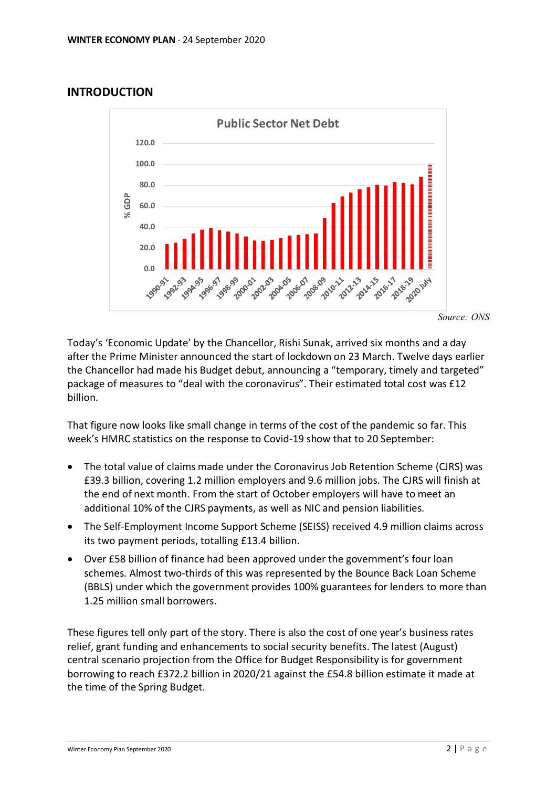# **INTRODUCTION**



*Source: ONS*

Today's 'Economic Update' by the Chancellor, Rishi Sunak, arrived six months and a day after the Prime Minister announced the start of lockdown on 23 March. Twelve days earlier the Chancellor had made his Budget debut, announcing a "temporary, timely and targeted" package of measures to "deal with the coronavirus". Their estimated total cost was £12 billion.

That figure now looks like small change in terms of the cost of the pandemic so far. This week's HMRC statistics on the response to Covid-19 show that to 20 September:

- The total value of claims made under the Coronavirus Job Retention Scheme (CJRS) was £39.3 billion, covering 1.2 million employers and 9.6 million jobs. The CJRS will finish at the end of next month. From the start of October employers will have to meet an additional 10% of the CJRS payments, as well as NIC and pension liabilities.
- The Self-Employment Income Support Scheme (SEISS) received 4.9 million claims across its two payment periods, totalling £13.4 billion.
- Over £58 billion of finance had been approved under the government's four loan schemes. Almost two-thirds of this was represented by the Bounce Back Loan Scheme (BBLS) under which the government provides 100% guarantees for lenders to more than 1.25 million small borrowers.

These figures tell only part of the story. There is also the cost of one year's business rates relief, grant funding and enhancements to social security benefits. The latest (August) central scenario projection from the Office for Budget Responsibility is for government borrowing to reach £372.2 billion in 2020/21 against the £54.8 billion estimate it made at the time of the Spring Budget.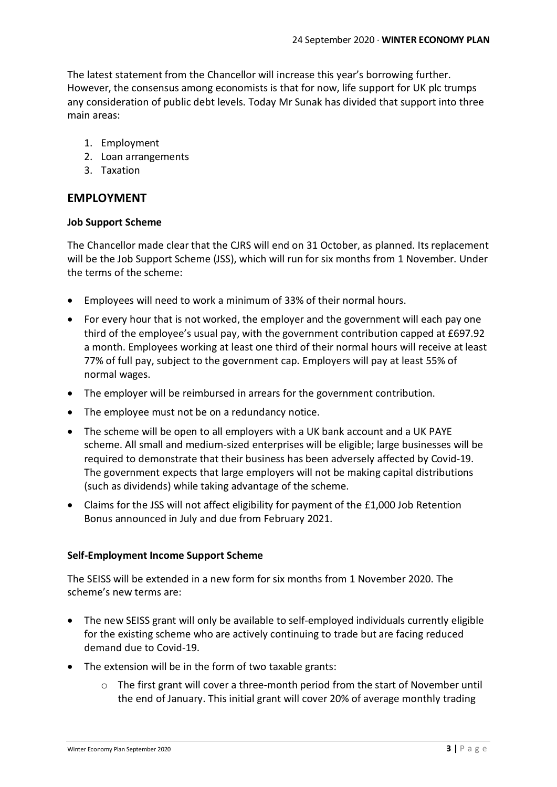The latest statement from the Chancellor will increase this year's borrowing further. However, the consensus among economists is that for now, life support for UK plc trumps any consideration of public debt levels. Today Mr Sunak has divided that support into three main areas:

- 1. Employment
- 2. Loan arrangements
- 3. Taxation

# **EMPLOYMENT**

### **Job Support Scheme**

The Chancellor made clear that the CJRS will end on 31 October, as planned. Its replacement will be the Job Support Scheme (JSS), which will run for six months from 1 November. Under the terms of the scheme:

- Employees will need to work a minimum of 33% of their normal hours.
- For every hour that is not worked, the employer and the government will each pay one third of the employee's usual pay, with the government contribution capped at £697.92 a month. Employees working at least one third of their normal hours will receive at least 77% of full pay, subject to the government cap. Employers will pay at least 55% of normal wages.
- The employer will be reimbursed in arrears for the government contribution.
- The employee must not be on a redundancy notice.
- The scheme will be open to all employers with a UK bank account and a UK PAYE scheme. All small and medium-sized enterprises will be eligible; large businesses will be required to demonstrate that their business has been adversely affected by Covid-19. The government expects that large employers will not be making capital distributions (such as dividends) while taking advantage of the scheme.
- Claims for the JSS will not affect eligibility for payment of the £1,000 Job Retention Bonus announced in July and due from February 2021.

### **Self-Employment Income Support Scheme**

The SEISS will be extended in a new form for six months from 1 November 2020. The scheme's new terms are:

- The new SEISS grant will only be available to self-employed individuals currently eligible for the existing scheme who are actively continuing to trade but are facing reduced demand due to Covid-19.
- The extension will be in the form of two taxable grants:
	- $\circ$  The first grant will cover a three-month period from the start of November until the end of January. This initial grant will cover 20% of average monthly trading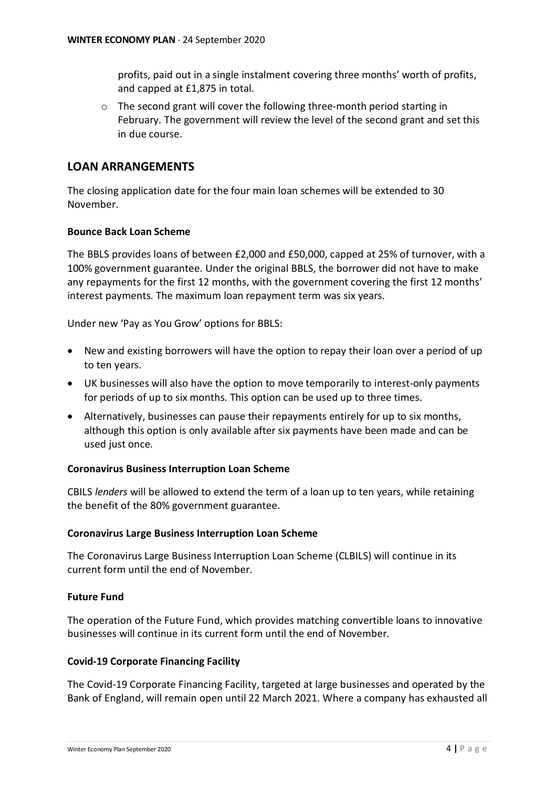profits, paid out in a single instalment covering three months' worth of profits, and capped at £1,875 in total.

o The second grant will cover the following three-month period starting in February. The government will review the level of the second grant and set this in due course.

# **LOAN ARRANGEMENTS**

The closing application date for the four main loan schemes will be extended to 30 November.

### **Bounce Back Loan Scheme**

The BBLS provides loans of between £2,000 and £50,000, capped at 25% of turnover, with a 100% government guarantee. Under the original BBLS, the borrower did not have to make any repayments for the first 12 months, with the government covering the first 12 months' interest payments. The maximum loan repayment term was six years.

Under new 'Pay as You Grow' options for BBLS:

- New and existing borrowers will have the option to repay their loan over a period of up to ten years.
- UK businesses will also have the option to move temporarily to interest-only payments for periods of up to six months. This option can be used up to three times.
- Alternatively, businesses can pause their repayments entirely for up to six months, although this option is only available after six payments have been made and can be used just once.

#### **Coronavirus Business Interruption Loan Scheme**

CBILS *lenders* will be allowed to extend the term of a loan up to ten years, while retaining the benefit of the 80% government guarantee.

#### **Coronavirus Large Business Interruption Loan Scheme**

The Coronavirus Large Business Interruption Loan Scheme (CLBILS) will continue in its current form until the end of November.

#### **Future Fund**

The operation of the Future Fund, which provides matching convertible loans to innovative businesses will continue in its current form until the end of November.

#### **Covid-19 Corporate Financing Facility**

The Covid-19 Corporate Financing Facility, targeted at large businesses and operated by the Bank of England, will remain open until 22 March 2021. Where a company has exhausted all